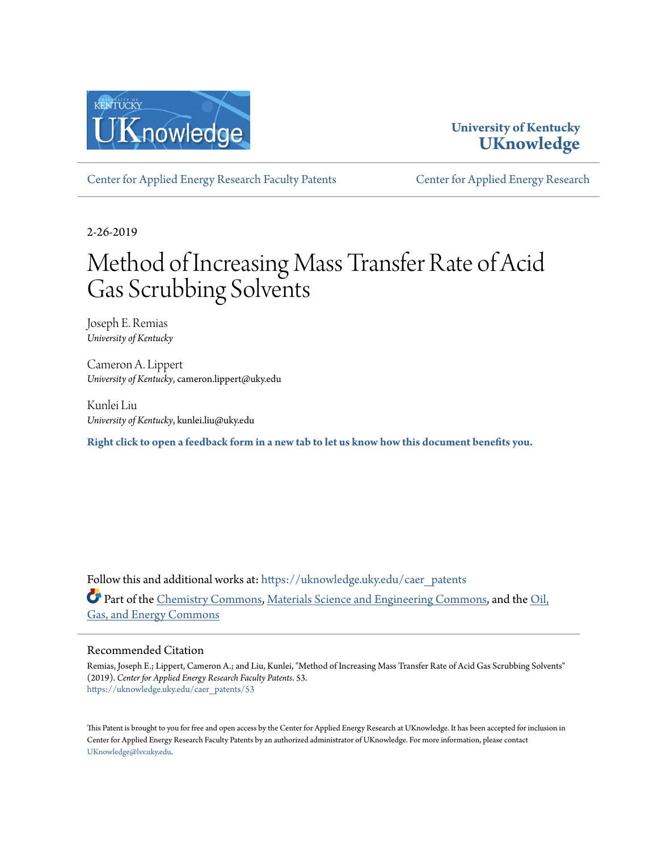

## **University of Kentucky [UKnowledge](https://uknowledge.uky.edu?utm_source=uknowledge.uky.edu%2Fcaer_patents%2F53&utm_medium=PDF&utm_campaign=PDFCoverPages)**

[Center for Applied Energy Research Faculty Patents](https://uknowledge.uky.edu/caer_patents?utm_source=uknowledge.uky.edu%2Fcaer_patents%2F53&utm_medium=PDF&utm_campaign=PDFCoverPages) [Center for Applied Energy Research](https://uknowledge.uky.edu/caer?utm_source=uknowledge.uky.edu%2Fcaer_patents%2F53&utm_medium=PDF&utm_campaign=PDFCoverPages)

2-26-2019

# Method of Increasing Mass Transfer Rate of Acid Gas Scrubbing Solvents

Joseph E. Remias *University of Kentucky*

Cameron A. Lippert *University of Kentucky*, cameron.lippert@uky.edu

Kunlei Liu *University of Kentucky*, kunlei.liu@uky.edu

**[Right click to open a feedback form in a new tab to let us know how this document benefits you.](https://uky.az1.qualtrics.com/jfe/form/SV_9mq8fx2GnONRfz7)**

Follow this and additional works at: [https://uknowledge.uky.edu/caer\\_patents](https://uknowledge.uky.edu/caer_patents?utm_source=uknowledge.uky.edu%2Fcaer_patents%2F53&utm_medium=PDF&utm_campaign=PDFCoverPages) Part of the [Chemistry Commons,](http://network.bepress.com/hgg/discipline/131?utm_source=uknowledge.uky.edu%2Fcaer_patents%2F53&utm_medium=PDF&utm_campaign=PDFCoverPages) [Materials Science and Engineering Commons](http://network.bepress.com/hgg/discipline/285?utm_source=uknowledge.uky.edu%2Fcaer_patents%2F53&utm_medium=PDF&utm_campaign=PDFCoverPages), and the [Oil,](http://network.bepress.com/hgg/discipline/171?utm_source=uknowledge.uky.edu%2Fcaer_patents%2F53&utm_medium=PDF&utm_campaign=PDFCoverPages) [Gas, and Energy Commons](http://network.bepress.com/hgg/discipline/171?utm_source=uknowledge.uky.edu%2Fcaer_patents%2F53&utm_medium=PDF&utm_campaign=PDFCoverPages)

## Recommended Citation

Remias, Joseph E.; Lippert, Cameron A.; and Liu, Kunlei, "Method of Increasing Mass Transfer Rate of Acid Gas Scrubbing Solvents" (2019). *Center for Applied Energy Research Faculty Patents*. 53. [https://uknowledge.uky.edu/caer\\_patents/53](https://uknowledge.uky.edu/caer_patents/53?utm_source=uknowledge.uky.edu%2Fcaer_patents%2F53&utm_medium=PDF&utm_campaign=PDFCoverPages)

This Patent is brought to you for free and open access by the Center for Applied Energy Research at UKnowledge. It has been accepted for inclusion in Center for Applied Energy Research Faculty Patents by an authorized administrator of UKnowledge. For more information, please contact [UKnowledge@lsv.uky.edu](mailto:UKnowledge@lsv.uky.edu).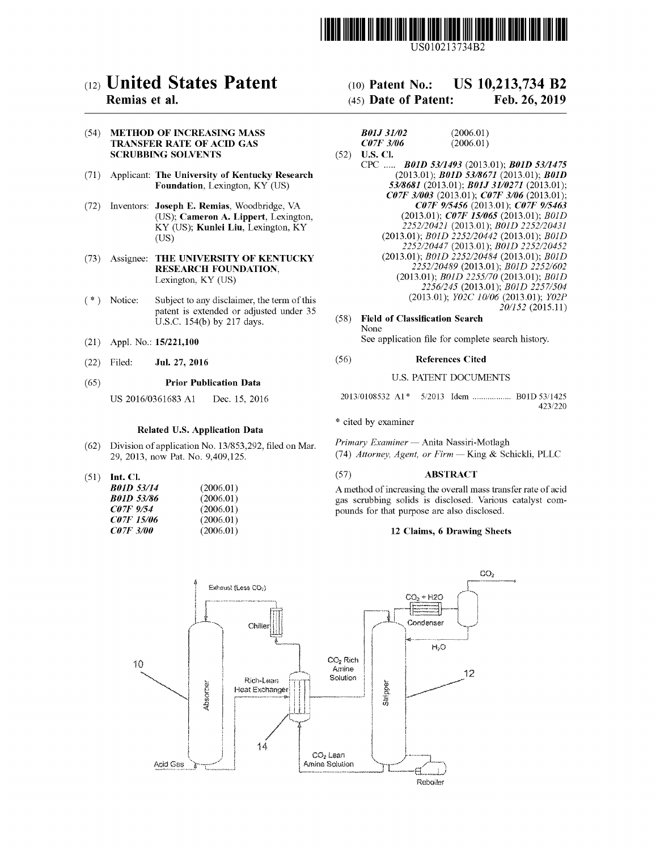

US010213734B2

## c12) United States Patent

### Remias et al.

### (54) METHOD OF INCREASING MASS TRANSFER RATE OF ACID GAS SCRUBBING SOLVENTS

- (71) Applicant: The University of Kentucky Research Foundation, Lexington, KY (US)
- (72) Inventors: Joseph E. Remias, Woodbridge, VA (US); Cameron A. Lippert, Lexington, KY (US); Kunlei Liu, Lexington, KY (US)
- (73) Assignee: THE UNIVERSITY OF KENTUCKY RESEARCH FOUNDATION, Lexington, KY (US)
- (\*) Notice: Subject to any disclaimer, the term of this patent is extended or adjusted under 35 U.S.C. 154(b) by 217 days.
- (21) Appl. No.: 15/221,100
- (22) Filed: Jul. 27, 2016

### (65) Prior Publication Data

US 2016/0361683 Al Dec. 15, 2016

### Related U.S. Application Data

- (62) Division of application No. 13/853,292, filed on Mar. 29, 2013, now Pat. No. 9,409,125.
- (51) Int. Cl.

| <b>B01D 53/14</b> | (2006.01) |
|-------------------|-----------|
| <b>B01D 53/86</b> | (2006.01) |
| <b>C07F</b> 9/54  | (2006.01) |
| <i>C07F 15/06</i> | (2006.01) |
| <b>C07F 3/00</b>  | (2006.01) |

## (IO) Patent No.: US 10,213,734 B2

## (45) Date of Patent: Feb.26,2019

| <b>B01J 31/02</b> | (2006.01) |
|-------------------|-----------|
| <i>CO7F 3/06</i>  | (2006.01) |
| $(52)$ U.S. Cl.   |           |

CPC ..... *BOID 53/1493* (2013.01); *BOID 53/1475*  (2013.01); *BOID 53/8671* (2013.01); *BOID 53/8681* (2013.01); *BOJJ 31/0271* (2013.01); *C07F 3/003* (2013.01); *C07F 3/06* (2013.01); *C07F 9/5456* (2013.01); *C07F 9/5463*  (2013.01); *C07F 15/065* (2013.01); *BOID 2252/20421* (2013.01); *BOID 2252/20431*  (2013.01); *BOID 2252/20442* (2013.01); *BOID 2252/20447* (2013.01); *BOID 2252/20452*  (2013.01); *BOID 2252/20484* (2013.01); *BOID 2252/20489* (2013.01); *BOID 2252/602*  (2013.01); *BOID 2255/70* (2013.01); *BOID 2256/245* (2013.01); *BOID 2257/504*  (2013.01); *Y02C 10/06* (2013.01); *Y02P 20/152* (2015.11)

### (58) Field of Classification Search None

See application file for complete search history.

### (56) References Cited

### U.S. PATENT DOCUMENTS

2013/0108532 A1\* 5/2013 Idem .................. B01D 53/1425 423/220

\* cited by examiner

*Primary Examiner* - Anita Nassiri-Motlagh (74) *Attorney, Agent, or Firm* - King & Schickli, PLLC

### (57) ABSTRACT

A method of increasing the overall mass transfer rate of acid gas scrubbing solids is disclosed. Various catalyst compounds for that purpose are also disclosed.

### 12 Claims, 6 Drawing Sheets

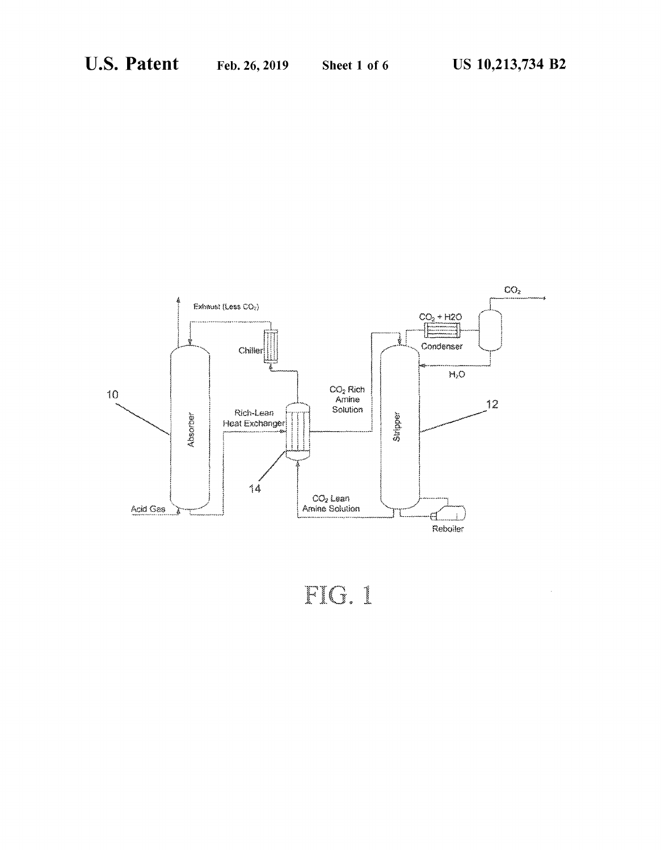i,



FIG.1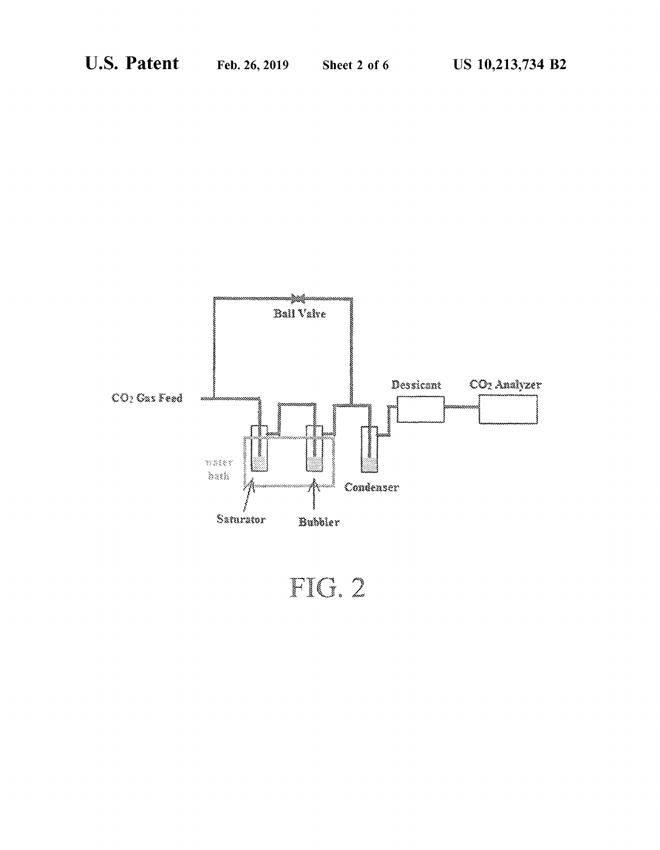

FIG. 2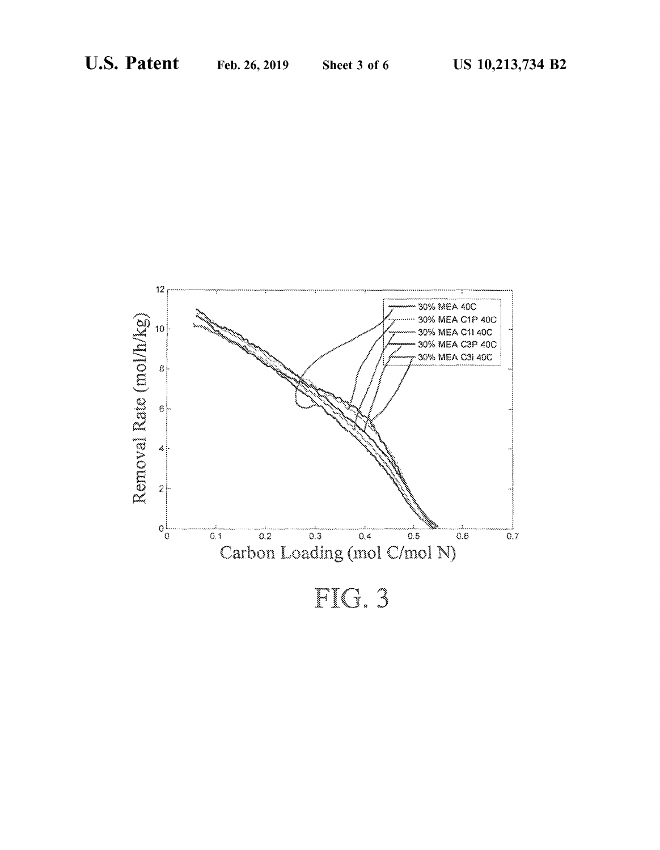

FIG. 3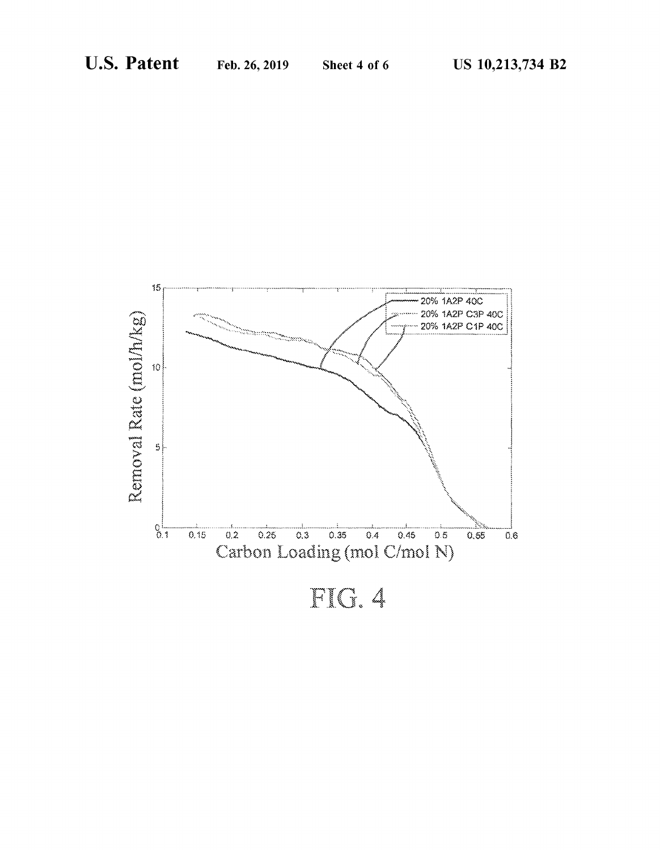

FIG. 4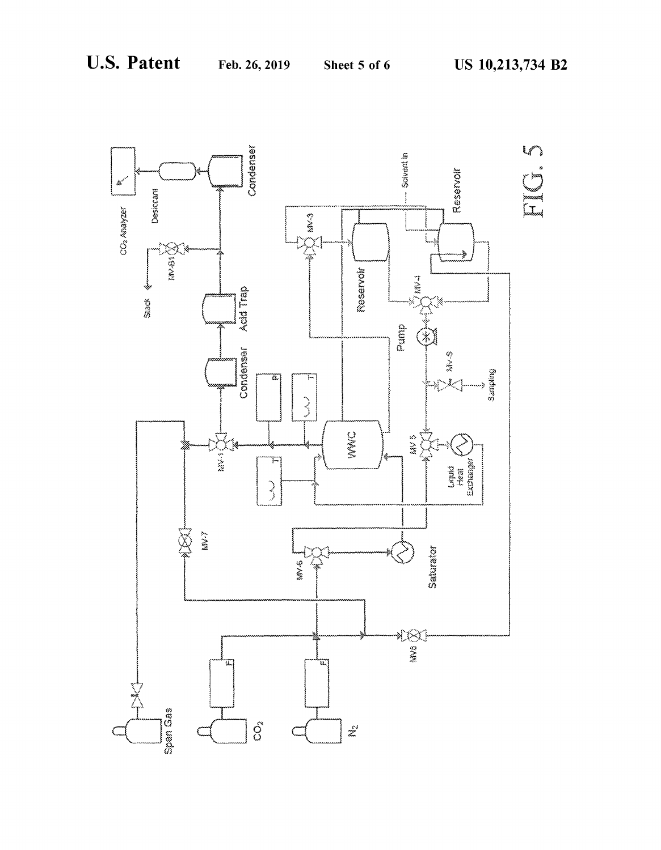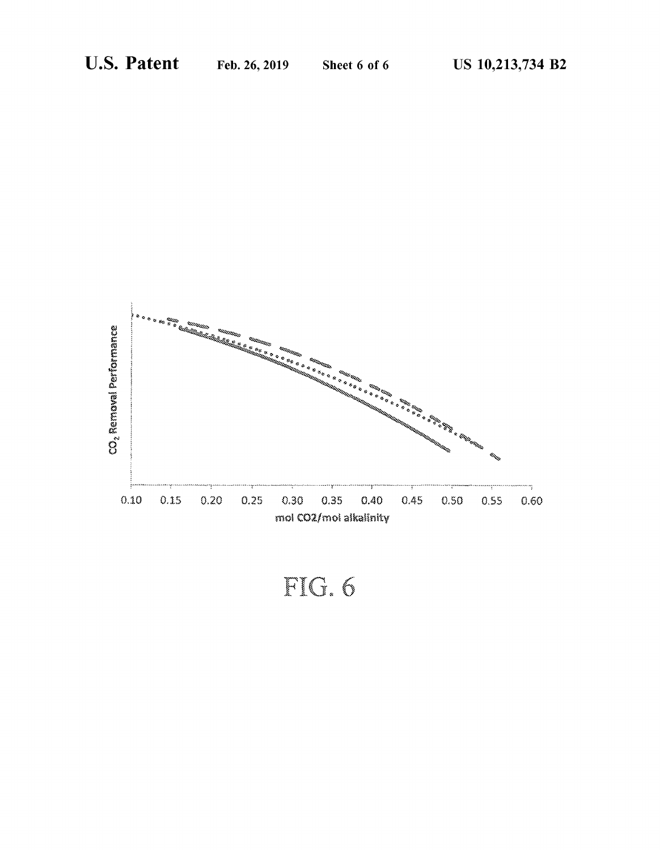

# FIG. 6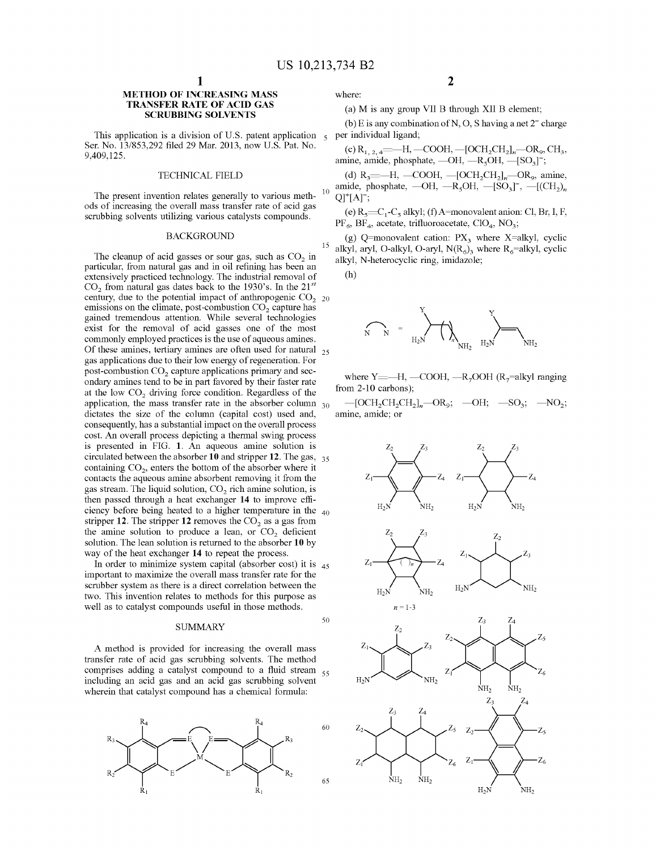### **METHOD OF INCREASING MASS TRANSFER RATE OF ACID GAS SCRUBBING SOLVENTS**

This application is a division of U.S. patent application  $\frac{1}{5}$ Ser. No. 13/853,292 filed 29 Mar. 2013, now U.S. Pat. No. 9,409,125.

### TECHNICAL FIELD

The present invention relates generally to various meth- $10$ ods of increasing the overall mass transfer rate of acid gas scrubbing solvents utilizing various catalysts compounds.

The cleanup of acid gasses or sour gas, such as  $CO<sub>2</sub>$  in particular, from natural gas and in oil refining has been an extensively practiced technology. The industrial removal of CO<sub>2</sub> from natural gas dates back to the 1930's. In the  $21^{st}$ century, due to the potential impact of anthropogenic  $CO<sub>20</sub>$ emissions on the climate, post-combustion  $CO<sub>2</sub>$  capture has gained tremendous attention. While several technologies exist for the removal of acid gasses one of the most commonly employed practices is the use of aqueous amines. Of these amines, tertiary amines are often used for natural  $_{25}$ gas applications due to their low energy of regeneration. For post-combustion  $CO<sub>2</sub>$  capture applications primary and secondary amines tend to be in part favored by their faster rate at the low  $CO<sub>2</sub>$  driving force condition. Regardless of the application, the mass transfer rate in the absorber column  $_{30}$ dictates the size of the column (capital cost) used and, consequently, has a substantial impact on the overall process cost. An overall process depicting a thermal swing process is presented in FIG. **1.** An aqueous amine solution is circulated between the absorber **10** and stripper **12.** The gas, 35 containing  $CO<sub>2</sub>$ , enters the bottom of the absorber where it contacts the aqueous amine absorbent removing it from the gas stream. The liquid solution,  $CO<sub>2</sub>$  rich amine solution, is then passed through a heat exchanger **14** to improve efficiency before being heated to a higher temperature in the  $_{40}$ stripper 12. The stripper 12 removes the CO<sub>2</sub> as a gas from the amine solution to produce a lean, or  $CO<sub>2</sub>$  deficient solution. The lean solution is returned to the absorber **10** by way of the heat exchanger **14** to repeat the process.

In order to minimize system capital (absorber cost) it is  $_{45}$ important to maximize the overall mass transfer rate for the scrubber system as there is a direct correlation between the two. This invention relates to methods for this purpose as well as to catalyst compounds useful in those methods.

### **SUMMARY**

A method is provided for increasing the overall mass transfer rate of acid gas scrubbing solvents. The method comprises adding a catalyst compound to a fluid stream  $55$ including an acid gas and an acid gas scrubbing solvent wherein that catalyst compound has a chemical formula:



where:

(a) Mis any group VII B through XII B element;

(b) E is any combination of N, O, S having a net  $2^-$  charge per individual ligand;

**2** 

 $(c)$  R<sub>1, 2, 4</sub> =  $-H$ ,  $-COOH$ ,  $-CICH_2CH_2]_n$   $-OR_9$ ,  $CH_3$ , amine, amide, phosphate,  $-\text{OH}$ ,  $-R_5\text{OH}$ ,  $-[SO_3]$ ;

(d) R<sub>3</sub>=-H, -COOH, -[OCH<sub>2</sub>CH<sub>2</sub>]<sub>n</sub>--OR<sub>9</sub>, amine, amide, phosphate,  $-\text{OH}$ ,  $-R_5\text{OH}$ ,  $-[SO_3]$ <sup>-</sup>,  $-[(CH_2)_n]$  $Q$ <sup>+</sup>[A]<sup>-</sup>;

(e)  $R_5 = C_1 - C_5$  alkyl; (f) A=monovalent anion: Cl, Br, I, F,  $PF_6$ ,  $BF_4$ , acetate, trifluoroacetate,  $ClO_4$ ,  $NO_3$ ;

BACKGROUND (g) Q=monovalent cation: PX<sub>3</sub> where X=alkyl, cyclic alkyl, aryl, 0-alkyl, 0-aryl, N(R<sub>6</sub>)<sub>3</sub> where R<sub>6</sub>=alkyl, cyclic alkyl, N-heterocyclic ring, imidazole;

(h)

50



where Y= $-H$ ,  $-COOH$ ,  $-R_7OOH$  ( $R_7$ =alkyl ranging from 2-10 carbons);

 $-[OCH_2CH_2CH_2]_n$ —OR<sub>9</sub>; —OH; —SO<sub>3</sub>; —NO<sub>2</sub>; amine, amide; or

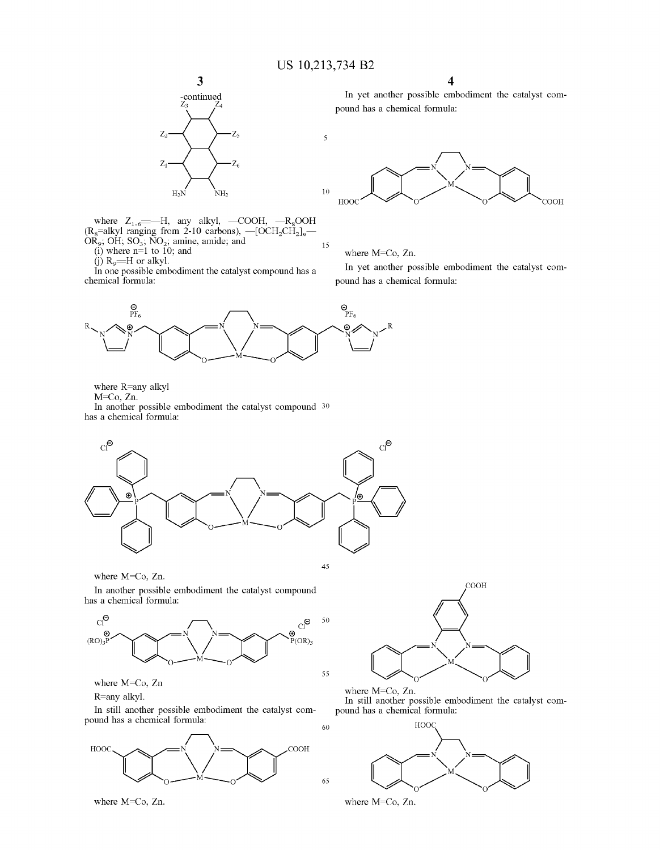5



where  $Z_{1-6} = -H$ , any alkyl,  $-$ COOH,  $-R_8$ OOH  $(R_8$ =alkyl ranging from 2-10 carbons),  $-[OCH_2CH_2]_n$ - $OR<sub>9</sub>$ ; OH; SO<sub>3</sub>; NO<sub>2</sub>; amine, amide; and 15

 $(i)$  where  $n=1$  to 10; and

 $(j)$  R<sub>9</sub>=H or alkyl.

In one possible embodiment the catalyst compound has a chemical formula:



where R=any alkyl

M=Co, Zn.

In another possible embodiment the catalyst compound 30 has a chemical formula:



where M=Co, Zn.

In another possible embodiment the catalyst compound has a chemical formula:



where M=Co, Zn

R=any alkyl.

In still another possible embodiment the catalyst compound has a chemical formula:



where M=Co, Zn.

In yet another possible embodiment the catalyst compound has a chemical formula:



where M=Co, Zn.

In yet another possible embodiment the catalyst compound has a chemical formula:



**COOH** 

 $\sum_{N}$ 



where M=Co, Zn.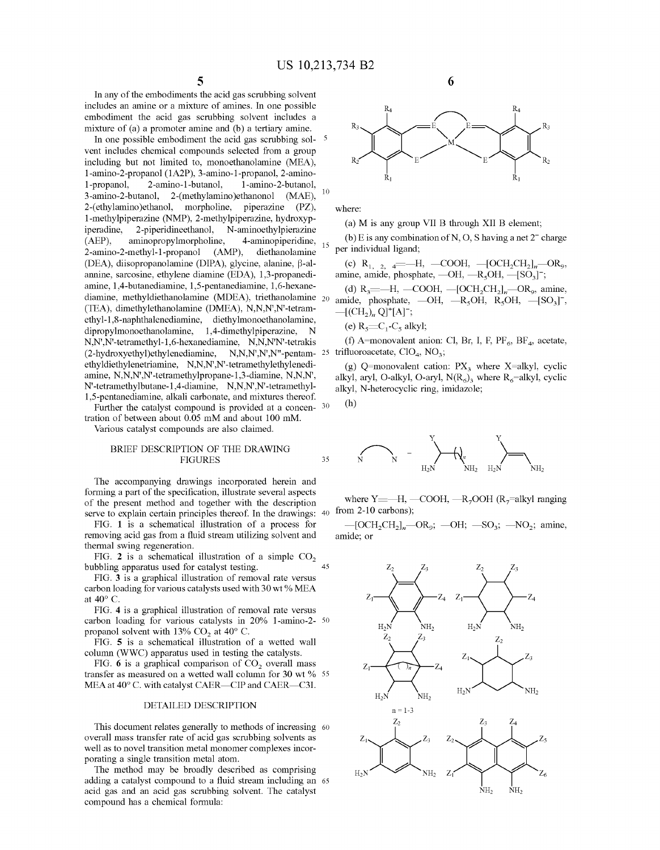In any of the embodiments the acid gas scrubbing solvent includes an amine or a mixture of amines. In one possible embodiment the acid gas scrubbing solvent includes a mixture of (a) a promoter amine and (b) a tertiary amine.

In one possible embodiment the acid gas scrubbing solvent includes chemical compounds selected from a group including but not limited to, monoethanolamine (MEA), l-amino-2-propanol (1A2P), 3-amino-1-propanol, 2-amino-1-propanol, 2-amino-1-butanol, 1-amino-2-butanol,  $\frac{1}{2}$ -amino-2-butanol, 2-(methylamino)ethanonol (MAE),  $\frac{10}{2}$ 2-( ethylamino )ethanol, morpholine, piperazine (PZ), 1-methylpiperazine (NMP), 2-methylpiperazine, hydroxypiperadine, 2-piperidineethanol, N-aminoethylpierazine (AEP), aminopropylmorpholine, 4-aminopiperidine, (b) E is any combination of N, O, S having a net 2<sup>-</sup> charge 2-amino-2-methv1-1-propanol (AMP) diethanolamine per individual ligand; 2-amino-2-methyl-1-propanol (AMP), diethanolamine (DEA), diisopropanolamine (DIPA), glycine, alanine,  $\beta$ -al- (c) R<sub>1, 2, 4</sub> = H, -COOH, -[OCH<sub>2</sub>CH<sub>2</sub>]<sub>n</sub>--OR<sub>9</sub>, annine, sarcosine, ethylene diamine (EDA), 1,3-propanedi- amine, amide, phosphate,  $-\text{OH}, -\text{R}_5\text{OH}, -[\text{SO}_3]$ ; amine, 1,4-butanediamine, 1,5-pentanediamine, 1,6-hexanediamine, methyldiethanolamine (MDEA), triethanolamine <sub>20</sub> (TEA), dimethylethanolamine (DMEA), N,N,N',N'-tetramethy 1-1,8-naphthalenediamine, diethy lmonoethanolamine, dipropylmonoethanolamine, 1,4-dimethylpiperazine, N N,N',N'-tetramethyl-1,6-hexanediamine, N,N,N'N'-tetrakis  $(2-hydroxyethyl)$ ethylenediamine, N,N,N',N',N''-pentam- 25 trifluoroacetate, ClO<sub>4</sub>, NO<sub>3</sub>; ethyldiethylenetriamine, N,N,N',N'-tetramethylethylenediamine, N,N,N',N'-tetramethylpropane-1,3-diamine, N,N,N', N'-tetramethylbutane-1,4-diamine, N,N,N',N'-tetramethyl-1,5-pentanediamine, alkali carbonate, and mixtures thereof. Further the catalyst compound is provided at a concen- 30

tration of between about 0.05 mM and about 100 mM. Various catalyst compounds are also claimed.

### BRIEF DESCRIPTION OF THE DRAWING FIGURES

The accompanying drawings incorporated herein and forming a part of the specification, illustrate several aspects of the present method and together with the description serve to explain certain principles thereof. In the drawings:  $40$  from 2-10 carbons);

FIG. 1 is a schematical illustration of a process for removing acid gas from a fluid stream utilizing solvent and thermal swing regeneration.

FIG. 2 is a schematical illustration of a simple  $CO<sub>2</sub>$ bubbling apparatus used for catalyst testing.  $\frac{1}{45}$ 

FIG. 3 is a graphical illustration of removal rate versus carbon loading for various catalysts used with 30 wt% MEA at 40° C.

FIG. 4 is a graphical illustration of removal rate versus carbon loading for various catalysts in 20% l-amino-2- 50 propanol solvent with 13%  $CO<sub>2</sub>$  at 40° C.

FIG. 5 is a schematical illustration of a wetted wall column (WWC) apparatus used in testing the catalysts.

FIG.  $6$  is a graphical comparison of  $CO<sub>2</sub>$  overall mass transfer as measured on a wetted wall column for 30 wt % 55 MEA at 40° C. with catalyst CAER-CIP and CAER-C3I.

### DETAILED DESCRIPTION

This document relates generally to methods of increasing 60 overall mass transfer rate of acid gas scrubbing solvents as well as to novel transition metal monomer complexes incorporating a single transition metal atom.

The method may be broadly described as comprising adding a catalyst compound to a fluid stream including an 65 acid gas and an acid gas scrubbing solvent. The catalyst compound has a chemical formula:





where:

(a) Mis any group VII B through XII B element;

 $=$ -H,  $\sim$ COOH,  $\sim$ [OCH<sub>2</sub>CH<sub>2</sub>]<sub>n</sub> $\sim$ OR<sub>9</sub>, amine,  $OH, R_5OH, -[SO_3]$ <sup>-</sup>,  $-[({\rm CH}_{2})_{n} Q]^{+}[A]^{-};$ 

(e)  $R_5 = C_1 - C_5$  alkyl;

(f) A=monovalent anion: Cl, Br, I, F,  $PF_6$ , BF<sub>4</sub>, acetate,

(g) Q=monovalent cation:  $PX_3$  where X=alkyl, cyclic alkyl, aryl, O-alkyl, O-aryl,  $N(R_6)$ , where  $R_6$ =alkyl, cyclic alkyl, N-heterocyclic ring, imidazole;

(h)

35



where Y =  $-H$ ,  $-COOH$ ,  $-R_7OOH$  (R<sub>7</sub>=alkyl ranging

 $-[OCH<sub>2</sub>CH<sub>2</sub>]<sub>n</sub>$ --OR<sub>9</sub>; --OH; --SO<sub>3</sub>; --NO<sub>2</sub>; amine, amide; or

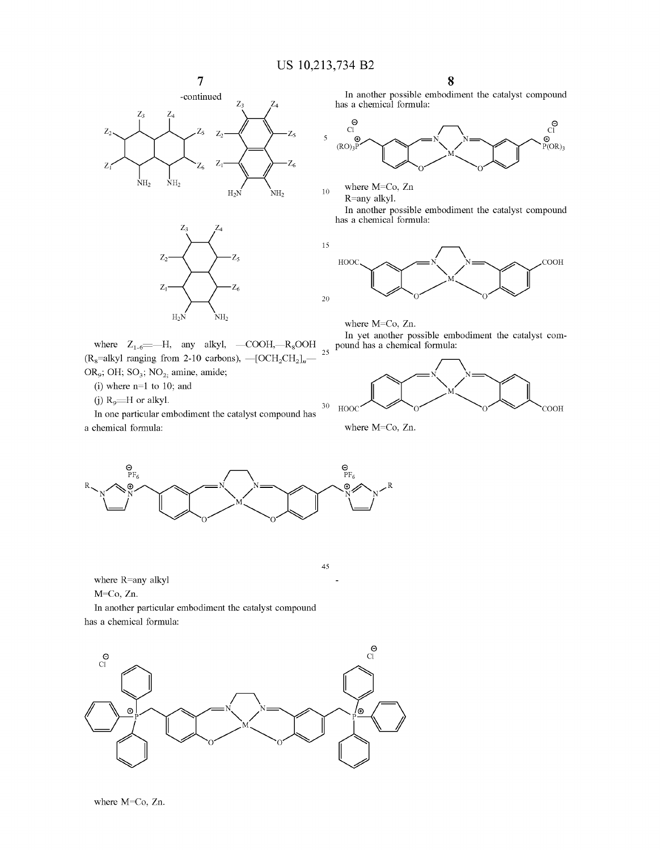10

45





where  $Z_{1-6}$  = -H, any alkyl, -COOH,-R<sub>8</sub>OOH  $(R_8$ =alkyl ranging from 2-10 carbons),  $-[OCH_2CH_2]_n$ -OR<sub>9</sub>; OH; SO<sub>3</sub>; NO<sub>2;</sub> amine, amide; 25

(i) where  $n=1$  to 10; and

(j)  $R_9$  = H or alkyl.

In one particular embodiment the catalyst compound has a chemical formula:

**8** 

In another possible embodiment the catalyst compound has a chemical formula:



where M=Co, Zn R=any alkyl.

In another possible embodiment the catalyst compound has a chemical formula:



where M=Co, Zn. In yet another possible embodiment the catalyst compound has a chemical formula:



where M=Co, Zn.



where R=any alkyl

M=Co, Zn.

In another particular embodiment the catalyst compound has a chemical formula:

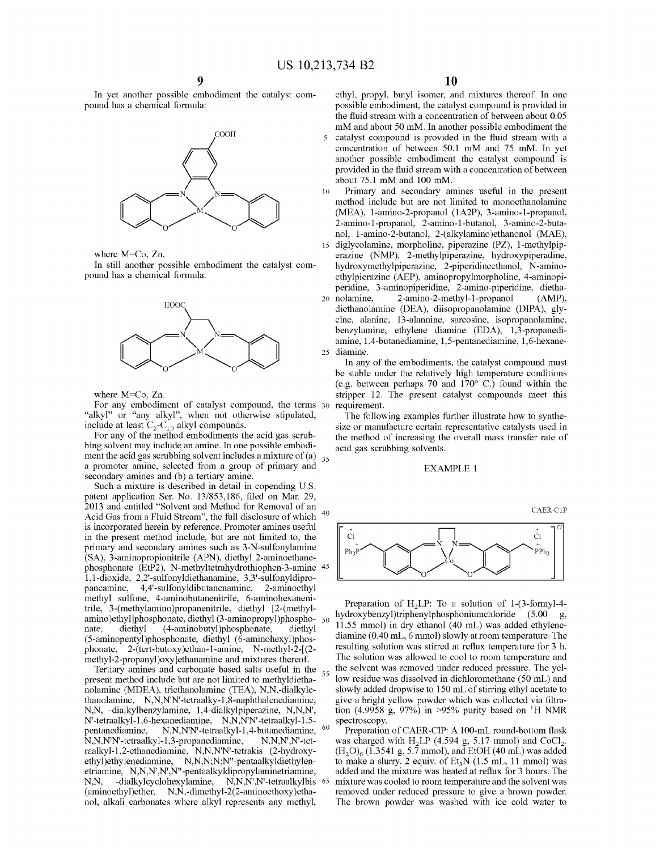In yet another possible embodiment the catalyst compound has a chemical formula:



where M=Co, Zn.

In still another possible embodiment the catalyst compound has a chemical formula:



where M=Co, Zn.

For any embodiment of catalyst compound, the terms 30 "alkyl" or "any alkyl", when not otherwise stipulated, include at least  $C_2$ - $C_{10}$  alkyl compounds.

For any of the method embodiments the acid gas scrubbing solvent may include an amine. In one possible embodiment the acid gas scrubbing solvent includes a mixture of (a)  $_{35}$ a promoter amine, selected from a group of primary and secondary amines and (b) a tertiary amine.

Such a mixture is described in detail in copending U.S. patent application Ser. No. 13/853,186, filed on Mar. 29, 2013 and entitled "Solvent and Method for Removal of an 2013 and entitied Solvent and Method for Removal of an Acid Gas from a Fluid Stream", the full disclosure of which <sup>40</sup> is incorporated herein by reference. Promoter amines useful in the present method include, but are not limited to, the primary and secondary amines such as 3-N-sulfonylamine (SA), 3-aminopropionitrile (APN), diethyl 2-aminoethanephosphonate (EtP2), N-methyltetrahydrothiophen-3-amine 45 1,1-dioxide, 2,2'-sulfonyldiethanamine, 3,3'-sulfonyldipropaneamine, 4,4'-sulfonyldibutanenamine, 2-aminoethyl methyl sulfone, 4-aminobutanenitrile, 6-aminohexanenitrile, 3-(methylamino )propanenitrile, diethyl [2-(methylamino )ethyl]phosphonate, diethyl (3-aminopropyl)phospho- 50 nate, diethyl (4-aminobutyl)phosphonate, diethyl (5-aminopentyl)phosphonate, diethyl (6-aminohexyl)phosphonate, 2-(tert-butoxy)ethan-l-amine, N-methyl-2-[(2 methyl-2-propanyl)oxy]ethanamine and mixtures thereof.

Tertiary amines and carbonate based salts useful in the 55 present method include but are not limited to methyldiethanolamine (MDEA), triethanolamine (TEA), N,N,-dialkylethanolamine, N,N,N'N'-tetraalky-1,8-naphthalenediamine, N,N, -dialkylbenzylamine, 1,4-dialkylpiperazine, N,N,N', N'-tetraalkyl-1,6-hexanediamine, N,N,N'N'-tetraalkyl-1,5 pentanediamine, N,N,N'N'-tetraalkyl-1,4-butanediamine, <sup>60</sup> N,N,N'N'-tetraalkyl-1,3-propanediamine, N,N,N',N'-tetraalkyl-1,2-ethanediamine, N,N,N'N'-tetrakis (2-hydroxyethyl)ethylenediamine, N,N,N;N;N"-pentaalkyldiethylenetriamine, N ,N,N' ,N' ,N" -pentaalky ldipropylaminetriamine, N,N, -dialkylcyclohexylamine, N,N,N',N'-tetraalkylbis 65  $(aminoethyl)$ ether, N,N,-dimethyl-2 $(2-aminoethoxy)$ ethanol, alkali carbonates where alkyl represents any methyl,

ethyl, propyl, butyl isomer, and mixtures thereof. In one possible embodiment, the catalyst compound is provided in the fluid stream with a concentration of between about 0.05 mM and about 50 mM. In another possible embodiment the 5 catalyst compound is provided in the fluid stream with a concentration of between 50.1 mM and 75 mM. In yet another possible embodiment the catalyst compound is provided in the fluid stream with a concentration of between about 75.1 mM and 100 mM.

10 Primary and secondary amines useful in the present method include but are not limited to monoethanolamine (MEA), l-amino-2-propanol (1A2P), 3-amino-1-propanol, 2-amino-1-propanol, 2-amino-1-butanol, 3-amino-2-butanol, l-amino-2-butanol, 2-(alkylamino)ethanonol (MAE),

15 diglycolamine, morpholine, piperazine (PZ), 1-methylpiperazine (NMP), 2-methylpiperazine, hydroxypiperadine, hydroxymethylpiperazine, 2-piperidineethanol, N-aminoethylpierazine (AEP), aminopropylmorpholine, 4-aminopiperidine, 3-aminopiperidine, 2-amino-piperidine, dietha-

20 nolamine, 2-amino-2-methyl-1-propanol (AMP), diethanolamine (DEA), diisopropanolamine (DIPA), glycine, alanine, 13-alannine, sarcosine, isopropanolamine, benzylamine, ethylene diamine (EDA), 1,3-propanediamine, 1,4-butanediamine, 1,5-pentanediamine, l,6-hexane-25 diamine.

In any of the embodiments, the catalyst compound must be stable under the relatively high temperature conditions (e.g. between perhaps 70 and  $170^{\circ}$  C.) found within the stripper 12. The present catalyst compounds meet this requirement.

The following examples further illustrate how to synthesize or manufacture certain representative catalysts used in the method of increasing the overall mass transfer rate of acid gas scrubbing solvents.

### EXAMPLE 1





Preparation of  $H_2LP$ : To a solution of 1-(3-formyl-4hydroxybenzyl)triphenylphosphoniumchloride (5.00 g, 11.55 mmol) in dry ethanol (40 mL) was added ethylenediamine (0.40 mL, 6 mmol) slowly at room temperature. The resulting solution was stirred at reflux temperature for 3 h. The solution was allowed to cool to room temperature and the solvent was removed under reduced pressure. The yellow residue was dissolved in dichloromethane (50 mL) and slowly added dropwise to 150 mL of stirring ethyl acetate to give a bright yellow powder which was collected via filtration (4.9958 g, 97%) in >95% purity based on <sup>1</sup>H NMR spectroscopy.

Preparation of CAER-CIP: A 100-mL round-bottom flask was charged with H<sub>2</sub>LP (4.594 g, 5.17 mmol) and CoCl<sub>2</sub>.  $(H<sub>2</sub>O)<sub>6</sub>$  (1.3541 g, 5.7 mmol), and EtOH (40 mL) was added to make a slurry. 2 equiv. of  $Et_3N$  (1.5 mL, 11 mmol) was added and the mixture was heated at reflux for 3 hours. The mixture was cooled to room temperature and the solvent was removed under reduced pressure to give a brown powder. The brown powder was washed with ice cold water to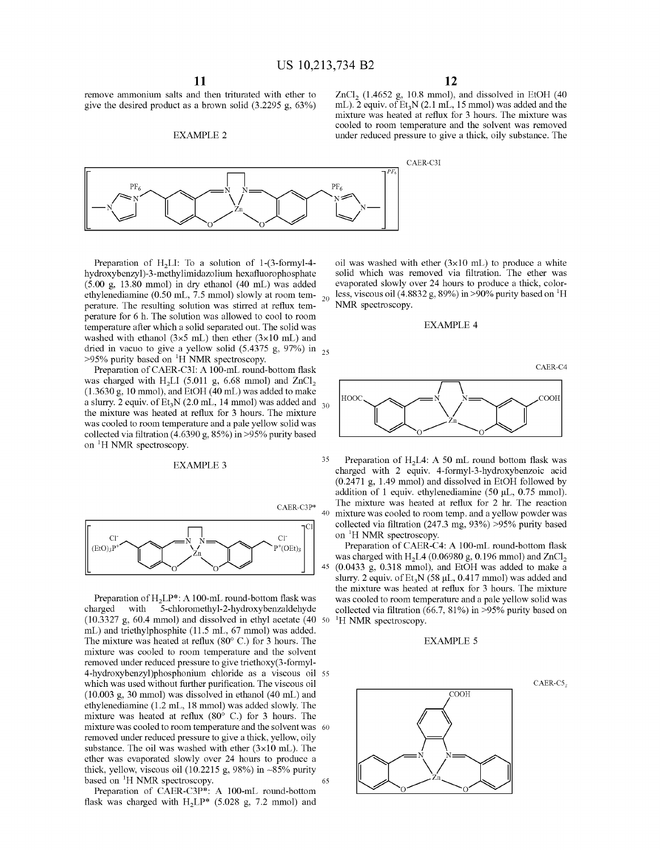remove ammonium salts and then triturated with ether to give the desired product as a brown solid (3.2295 g, 63%)

### EXAMPLE 2



 $ZnCl<sub>2</sub>$  (1.4652 g, 10.8 mmol), and dissolved in EtOH (40 mL). 2 equiv. of  $Et<sub>3</sub>N$  (2.1 mL, 15 mmol) was added and the mixture was heated at reflux for 3 hours. The mixture was cooled to room temperature and the solvent was removed under reduced pressure to give a thick, oily substance. The

oil was washed with ether  $(3\times10$  mL) to produce a white solid which was removed via filtration. The ether was evaporated slowly over 24 hours to produce a thick, colorless, viscous oil (4.8832 g, 89%) in >90% purity based on  $^1$ H NMR spectroscopy.

### EXAMPLE 4



EXAMPLE 3 <sup>35</sup> Preparation of H<sub>2</sub>L4: A 50 mL round bottom flask was charged with 2 equiv. 4-formyl-3-hydroxybenzoic acid (0.2471 g, 1.49 mmol) and dissolved in EtOH followed by addition of 1 equiv. ethylenediamine (50 µL, 0.75 mmol). The mixture was heated at reflux for 2 hr. The reaction 40 mixture was cooled to room temp. and a yellow powder was collected via filtration (247.3 mg, 93%) >95% purity based on <sup>1</sup>H NMR spectroscopy.

> Preparation of CAER-C4: A 100-mL round-bottom flask was charged with  $H<sub>2</sub> L4$  (0.06980 g, 0.196 mmol) and ZnCl<sub>2</sub> 45 (0.0433 g, 0.318 mmol), and EtOH was added to make a slurry. 2 equiv. of  $Et_3N$  (58 µL, 0.417 mmol) was added and the mixture was heated at reflux for 3 hours. The mixture was cooled to room temperature and a pale yellow solid was collected via filtration (66.7, 81%) in >95% purity based on <sup>1</sup>H NMR spectroscopy.

### EXAMPLE 5



Preparation of  $H<sub>2</sub>LI$ : To a solution of 1-(3-formyl-4hydroxybenzyl)-3-methylimidazolium hexafluorophosphate (5.00 g, 13.80 mmol) in dry ethanol (40 mL) was added ethylenediamine (0.50 mL, 7.5 mmol) slowly at room tem- $_{20}$ perature. The resulting solution was stirred at reflux temperature for 6 h. The solution was allowed to cool to room temperature after which a solid separated out. The solid was washed with ethanol  $(3 \times 5 \text{ mL})$  then ether  $(3 \times 10 \text{ mL})$  and dried in vacuo to give a yellow solid (5.4375 g, 97%) in  $_{25}$  $>95\%$  purity based on <sup>1</sup>H NMR spectroscopy.

Preparation of CAER-C3I: A 100-mL round-bottom flask was charged with H<sub>2</sub>LI (5.011 g, 6.68 mmol) and  $ZnCl<sub>2</sub>$  $(1.3630 \text{ g}, 10 \text{ mmol})$ , and EtOH  $(40 \text{ mL})$  was added to make a slurry. 2 equiv. of Et<sub>3</sub>N (2.0 mL, 14 mmol) was added and  $_{30}$ the mixture was heated at reflux for 3 hours. The mixture was cooled to room temperature and a pale yellow solid was collected via filtration (4.6390 g, 85%) in  $>95%$  purity based on  ${}^{1}$ H NMR spectroscopy.



Preparation of  $H_2LP^*$ : A 100-mL round-bottom flask was charged with 5-chloromethyl-2-hydroxybenzaldehyde 5-chloromethyl-2-hydroxybenzaldehyde (10.3327 g, 60.4 mmol) and dissolved in ethyl acetate  $(40\,50$ mL) and triethylphosphite (11.5 mL, 67 mmol) was added. The mixture was heated at reflux (80° C.) for 3 hours. The mixture was cooled to room temperature and the solvent removed under reduced pressure to give triethoxy(3-formyl-4-hydroxybenzyl)phosphonium chloride as a viscous oil 55 which was used without further purification. The viscous oil (10.003 g, 30 mmol) was dissolved in ethanol (40 mL) and ethylenediamine (1.2 mL, 18 mmol) was added slowly. The mixture was heated at reflux (80° C.) for 3 hours. The mixture was cooled to room temperature and the solvent was 60 removed under reduced pressure to give a thick, yellow, oily substance. The oil was washed with ether  $(3\times10 \text{ mL})$ . The ether was evaporated slowly over 24 hours to produce a thick, yellow, viscous oil (10.2215 g, 98%) in  $\sim$ 85% purity based on <sup>1</sup>H NMR spectroscopy. 65

Preparation of CAER-C3P\*: A 100-mL round-bottom flask was charged with  $H_2LP^*$  (5.028 g, 7.2 mmol) and CAER-C5<sub>z</sub>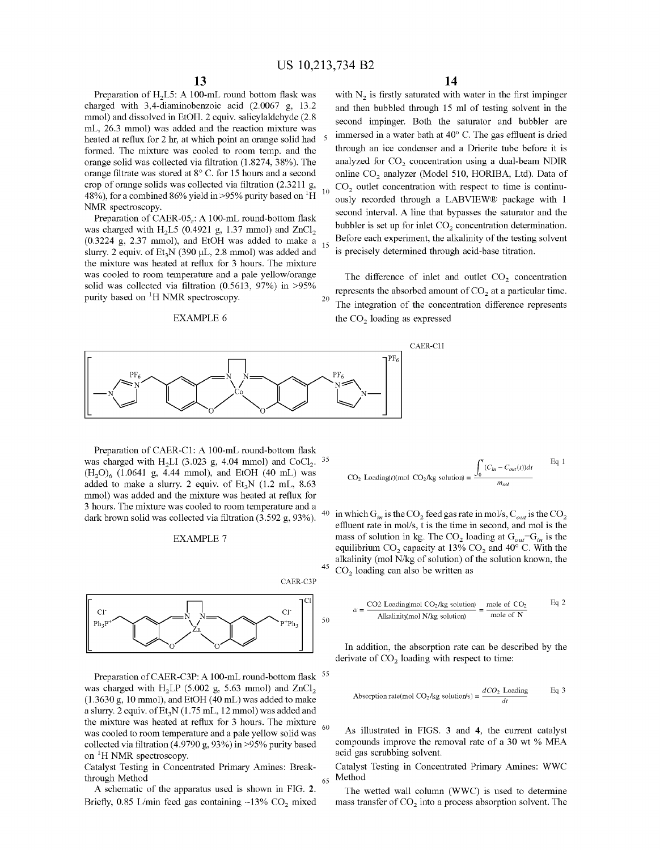20

60

Preparation of  $H_2L5$ : A 100-mL round bottom flask was charged with 3,4-diaminobenzoic acid (2.0067 g, 13.2 mmol) and dissolved in EtOH. 2 equiv. salicylaldehyde (2.8 mL, 26.3 mmol) was added and the reaction mixture was heated at reflux for 2 hr, at which point an orange solid had formed. The mixture was cooled to room temp. and the orange solid was collected via filtration (1.8274, 38%). The orange filtrate was stored at 8° C. for 15 hours and a second crop of orange solids was collected via filtration (2.3211 g, 48%), for a combined 86% yield in >95% purity based on  ${}^{1}$ H NMR spectroscopy.

was charged with  $H<sub>2</sub> L5$  (0.4921 g, 1.37 mmol) and ZnCl<sub>2</sub> (0.3224 g, 2.37 mmol), and EtOH was added to make a slurry. 2 equiv. of  $Et_3N$  (390 µL, 2.8 mmol) was added and the mixture was heated at reflux for 3 hours. The mixture was cooled to room temperature and a pale yellow/orange solid was collected via filtration (0.5613, 97%) in >95% purity based on  ${}^{1}$ H NMR spectroscopy.

### EXAMPLE 6



Preparation of CAER-Cl: A 100-mL round-bottom flask was charged with H<sub>2</sub>LI (3.023 g, 4.04 mmol) and CoCl<sub>2</sub>. <sup>35</sup>  $(H<sub>2</sub>O)<sub>6</sub>$  (1.0641 g, 4.44 mmol), and EtOH (40 mL) was added to make a slurry. 2 equiv. of  $Et<sub>3</sub>N$  (1.2 mL, 8.63) mmol) was added and the mixture was heated at reflux for 3 hours. The mixture was cooled to room temperature and a dark brown solid was collected via filtration (3.592 g, 93%).

EXAMPLE 7



Preparation of CAER-C3P: A 100-mL round-bottom flask <sup>55</sup> was charged with H<sub>2</sub>LP (5.002 g, 5.63 mmol) and  $ZnCl<sub>2</sub>$  $(1.3630 \text{ g}, 10 \text{ mmol})$ , and EtOH $(40 \text{ mL})$  was added to make a slurry. 2 equiv. of  $Et<sub>3</sub>N$  (1.75 mL, 12 mmol) was added and the mixture was heated at reflux for 3 hours. The mixture was cooled to room temperature and a pale yellow solid was collected via filtration (4.9790 g, 93%) in >95% purity based on <sup>1</sup>H NMR spectroscopy.

Catalyst Testing in Concentrated Primary Amines: Breakthrough Method

A schematic of the apparatus used is shown in FIG. 2. Briefly, 0.85 L/min feed gas containing  $\sim$ 13% CO<sub>2</sub> mixed

 $13$  14

with  $N_2$  is firstly saturated with water in the first impinger and then bubbled through 15 ml of testing solvent in the second impinger. Both the saturator and bubbler are immersed in a water bath at 40° C. The gas effluent is dried through an ice condenser and a Drierite tube before it is analyzed for CO<sub>2</sub> concentration using a dual-beam NDIR online CO<sub>2</sub> analyzer (Model 510, HORIBA, Ltd). Data of  $CO<sub>2</sub>$  outlet concentration with respect to time is continuously recorded through a LABVIEW® package with 1 second interval. A line that bypasses the saturator and the Preparation of CAER-05<sub>2</sub>: A 100-mL round-bottom flask<br>as charged with H I 5 (0.4921  $\alpha$  -1.37 mmol) and ZnCl bubbler is set up for inlet CO<sub>2</sub> concentration determination. Before each experiment, the alkalinity of the testing solvent is precisely determined through acid-base titration.

> The difference of inlet and outlet  $CO<sub>2</sub>$  concentration represents the absorbed amount of  $CO<sub>2</sub>$  at a particular time. The integration of the concentration difference represents the  $CO<sub>2</sub>$  loading as expressed



<sup>40</sup> in which  $G_{in}$  is the CO<sub>2</sub> feed gas rate in mol/s,  $C_{out}$  is the CO<sub>2</sub> effluent rate in mol/s, t is the time in second, and mol is the mass of solution in kg. The  $CO_2$  loading at  $G_{out} = G_{in}$  is the equilibrium  $CO<sub>2</sub>$  capacity at 13%  $CO<sub>2</sub>$  and 40° C. With the alkalinity (mo! N/kg of solution) of the solution known, the  $45$  CO<sub>2</sub> loading can also be written as

$$
\alpha = \frac{CO2 \text{ Ladingmol CO}_2/\text{kg solution}}{\text{Alkalinity/mol N/kg solution}} = \frac{\text{mole of CO}_2}{\text{mole of N}}
$$

In addition, the absorption rate can be described by the derivate of CO<sub>2</sub> loading with respect to time:

Absorption rate(mod CO<sub>2</sub>/kg solutions) = 
$$
\frac{dCO_2 \text{ Loading}}{dt}
$$
 Eq 3

As illustrated in FIGS. 3 and 4, the current catalyst compounds improve the removal rate of a 30 wt % MEA acid gas scrubbing solvent.

Catalyst Testing in Concentrated Primary Amines: WWC <sup>65</sup>Method

The wetted wall colunm (WWC) is used to determine mass transfer of  $CO<sub>2</sub>$  into a process absorption solvent. The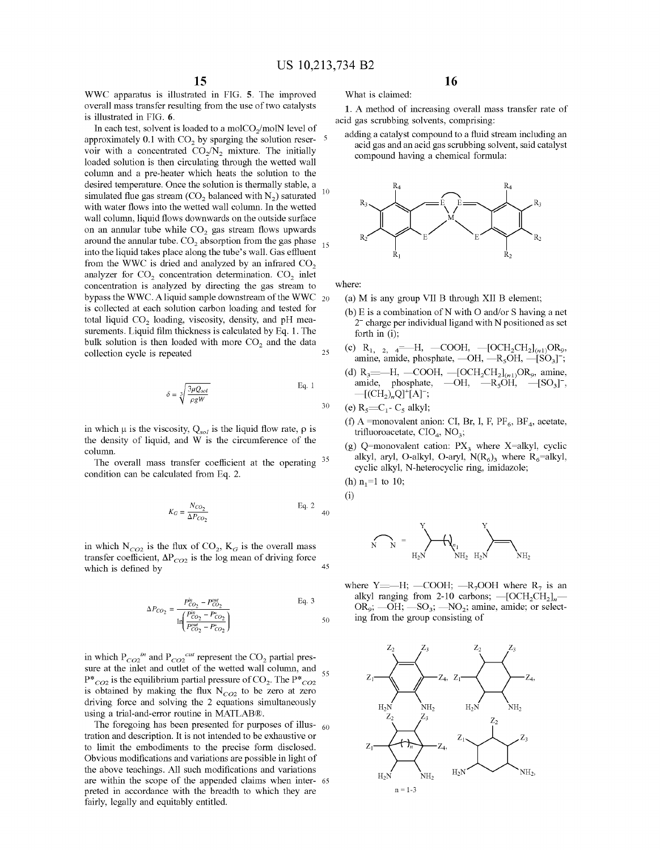What is claimed:

WWC apparatus is illustrated in FIG. **5.** The improved overall mass transfer resulting from the use of two catalysts is illustrated in FIG. **6.** 

In each test, solvent is loaded to a mol $CO<sub>2</sub>/molN$  level of approximately 0.1 with  $CO<sub>2</sub>$  by sparging the solution reser-  $5$ voir with a concentrated CO<sub>2</sub>/N<sub>2</sub> mixture. The initially loaded solution is then circulating through the wetted wall column and a pre-heater which heats the solution to the desired temperature. Once the solution is thermally stable, a simulated flue gas stream  $(CO<sub>2</sub>$  balanced with N<sub>2</sub>) saturated  $10<sup>10</sup>$ with water flows into the wetted wall column. In the wetted wall column, liquid flows downwards on the outside surface on an annular tube while  $CO<sub>2</sub>$  gas stream flows upwards around the annular tube.  $CO_2$  absorption from the gas phase  $_{15}$ into the liquid takes place along the tube's wall. Gas effluent from the WWC is dried and analyzed by an infrared  $CO<sub>2</sub>$ analyzer for  $CO<sub>2</sub>$  concentration determination.  $CO<sub>2</sub>$  inlet concentration is analyzed by directing the gas stream to bypass the WWC. A liquid sample downstream of the WWC  $_{20}$ is collected at each solution carbon loading and tested for total liquid  $CO<sub>2</sub>$  loading, viscosity, density, and pH measurements. Liquid film thickness is calculated by Eq. 1. The bulk solution is then loaded with more  $CO<sub>2</sub>$  and the data collection cycle is repeated 25

$$
\delta = \sqrt[3]{\frac{3\mu Q_{sol}}{\rho g W}}
$$
 Eq. 1

in which  $\mu$  is the viscosity,  $Q_{sol}$  is the liquid flow rate,  $\rho$  is the density of liquid, and W is the circumference of the column.

The overall mass transfer coefficient at the operating  $35$ condition can be calculated from Eq. 2.

$$
K_G = \frac{N_{CO_2}}{\Delta P_{CO_2}}
$$
 Eq. 2

in which  $N_{CO2}$  is the flux of  $CO_2$ ,  $K_G$  is the overall mass transfer coefficient,  $\Delta P_{CO2}$  is the log mean of driving force which is defined by 45

$$
\Delta P_{CO_2} = \frac{P_{CO_2}^{in} - P_{CO_2}^{out}}{\ln\left(\frac{P_{CO_2}^{in} - P_{CO_2}}{P_{CO_2}^{out} - P_{CO_2}}\right)}
$$
 Eq. 3

in which  $P_{CO2}^{in}$  and  $P_{CO2}^{out}$  represent the CO<sub>2</sub> partial pressure at the inlet and outlet of the wetted wall column, and  $P^*_{CO2}$  is the equilibrium partial pressure of CO<sub>2</sub>. The P\* $_{CO2}$ is obtained by making the flux  $N_{CO2}$  to be zero at zero driving force and solving the 2 equations simultaneously using a trial-and-error routine in MATLAB®.

The foregoing has been presented for purposes of illus- $60$ tration and description. It is not intended to be exhaustive or to limit the embodiments to the precise form disclosed. Obvious modifications and variations are possible in light of the above teachings. All such modifications and variations are within the scope of the appended claims when inter- <sup>65</sup> preted in accordance with the breadth to which they are fairly, legally and equitably entitled.

**16** 

**1.** A method of increasing overall mass transfer rate of acid gas scrubbing solvents, comprising:

adding a catalyst compound to a fluid stream including an acid gas and an acid gas scrubbing solvent, said catalyst compound having a chemical formula:



where:

- (a) Mis any group VII B through XII B element;
- (b) E is a combination of N with O and/or S having a net  $2<sup>-</sup>$  charge per individual ligand with N positioned as set forth in (i);
- (c) R<sub>1, 2, 4</sub> =  $-H$ , -COOH, -[OCH<sub>2</sub>CH<sub>2</sub>]<sub>(n1</sub>)OR<sub>9</sub>, amine, amide, phosphate,  $-\text{OH}$ ,  $-R_5\text{OH}$ ,  $-[SO_3]$ ;
- (d) R<sub>3</sub> -- H, -COOH,  $-[OCH<sub>2</sub>CH<sub>2</sub>]<sub>(n1)</sub>OR<sub>9</sub>$ , amine, amide, phosphate,  $\text{OH}$ ,  $\text{R}_5\text{OH}$ ,  $\text{C}[\text{SO}_3]$ ,  $-[(CH_2)_nQ]^+[A]^{-}$ ;
- (e)  $R_5 = C_1 C_5$  alkyl;
- (f) A =monovalent anion: CI, Br, I, F,  $PF_6$ , BF<sub>4</sub>, acetate, trifluoroacetate,  $CIO<sub>4</sub>$ ,  $NO<sub>3</sub>$ ;
- (g) Q=monovalent cation:  $PX_3$  where X=alkyl, cyclic alkyl, aryl, O-alkyl, O-aryl,  $N(R_6)$ , where  $R_6$ =alkyl, cyclic alkyl, N-heterocyclic ring, imidazole;

(h) 
$$
n_1=1
$$
 to 10;

(i)



where Y  $=$  H;  $-$ COOH;  $-R_7$ OOH where  $R_7$  is an alkyl ranging from 2-10 carbons;  $-[OCH_2CH_2]_n OR<sub>9</sub>;$   $—OH;$   $—SO<sub>3</sub>;$   $—NO<sub>2</sub>;$  amine, amide; or selecting from the group consisting of

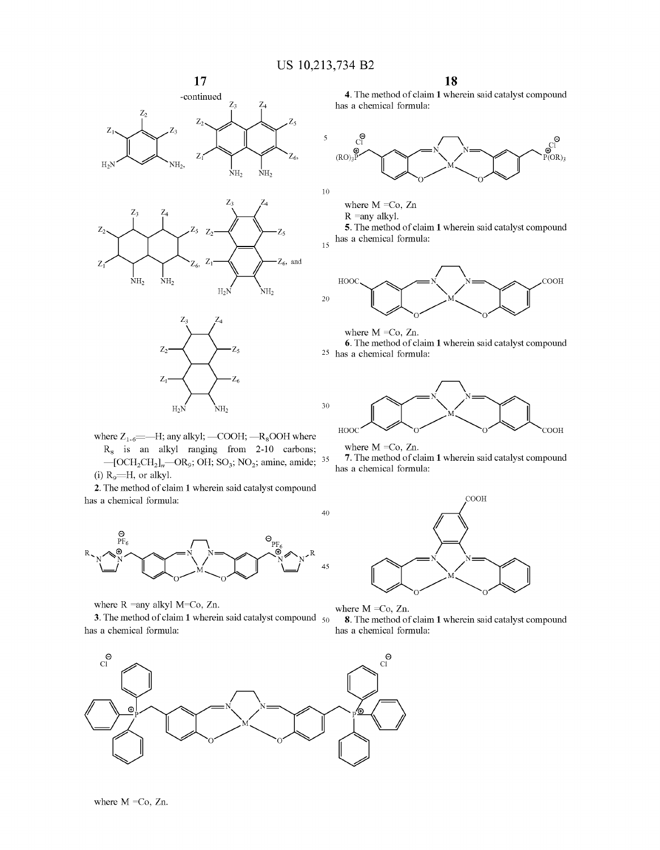





where  $Z_{1-6}$  = -H; any alkyl; -COOH; -R<sub>8</sub>OOH where  $R_8$  is an alkyl ranging from 2-10 carbons; where  $M = Co$ , Zn.  $-$ [OCH<sub>2</sub>CH<sub>2</sub>]<sub>n</sub> $-$ OR<sub>9</sub>; OH; SO<sub>3</sub>; NO<sub>2</sub> (i)  $R_9=H$ , or alkyl.

**2.** The method of claim **1** wherein said catalyst compound has a chemical formula:



where R =any alkyl M=Co, Zn.<br>3. The method of claim 1 wherein said catalyst compound  $\frac{1}{50}$  8. The method of has a chemical formula: has a chemical formula:



**4.** The method of claim **1** wherein said catalyst compound has a chemical formula:



- where M =Co, Zn
- R =any alkyl.

15 **5.** The method of claim **1** wherein said catalyst compound has a chemical formula:



where M =Co, Zn. **6.** The method of claim **1** wherein said catalyst compound 25 has a chemical formula:





40

7. The method of claim 1 wherein said catalyst compound has a chemical formula:



**8**. The method of claim 1 wherein said catalyst compound